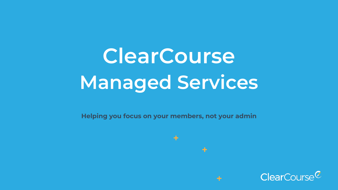# **ClearCourse Managed Services**

**Helping you focus on your members, not your admin**

 $\div$ 

 $\div$ 

 $\div$ 

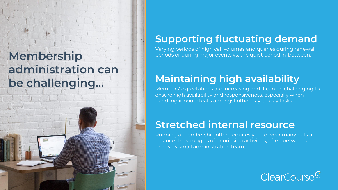### **Membership administration can be challenging…**



### **Supporting fluctuating demand**

Varying periods of high call volumes and queries during renewal periods or during major events vs. the quiet period in-between.

### **Maintaining high availability**

Members' expectations are increasing and it can be challenging to ensure high availability and responsiveness, especially when handling inbound calls amongst other day-to-day tasks.

### **Stretched internal resource**

Running a membership often requires you to wear many hats and balance the struggles of prioritising activities, often between a relatively small administration team.

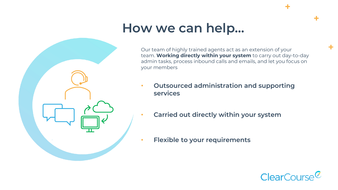### **How we can help…**

Our team of highly trained agents act as an extension of your team. **Working directly within your system** to carry out day-to-day admin tasks, process inbound calls and emails, and let you focus on your members

- **Outsourced administration and supporting services**
	- **Carried out directly within your system**
- **Flexible to your requirements**



÷

÷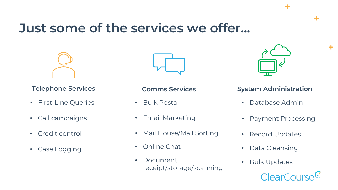### **Just some of the services we offer…**



- First-Line Queries
- Call campaigns
- Credit control
- Case Logging



- Bulk Postal
- Email Marketing
- Mail House/Mail Sorting
- Online Chat
- Document receipt/storage/scanning



÷

÷

#### **Telephone Services Comms Services System Administration**

- Database Admin
- Payment Processing
- Record Updates
- Data Cleansing
- Bulk Updates

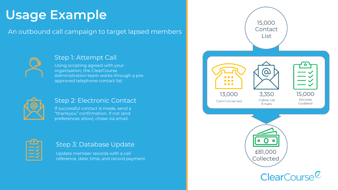## **Usage Example**

An outbound call campaign to target lapsed members



#### Step 1: Attempt Call

Using scripting agreed with your organisation, the ClearCourse Administration team works through a preapproved telephone contact list.



#### Step 2: Electronic Contact

If successful contact is made, send a "thankyou" confirmation. If not (and preferences allow), chase via email.



#### Step 3: Database Update

Update member records with a call reference, date, time, and record payment

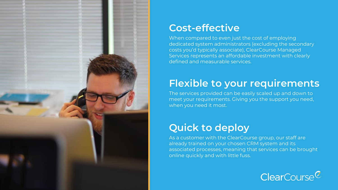

### **Cost-effective**

When compared to even just the cost of employing dedicated system administrators (excluding the secondary costs you'd typically associate), ClearCourse Managed Services represents an affordable investment with clearly defined and measurable services.

### **Flexible to your requirements**

The services provided can be easily scaled up and down to meet your requirements. Giving you the support you need, when you need it most.

### **Quick to deploy**

As a customer with the ClearCourse group, our staff are already trained on your chosen CRM system and its associated processes, meaning that services can be brought online quickly and with little fuss.